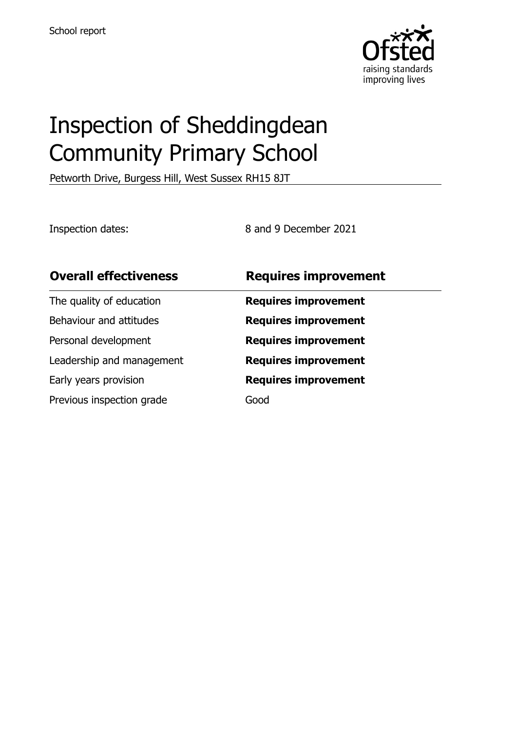

# Inspection of Sheddingdean Community Primary School

Petworth Drive, Burgess Hill, West Sussex RH15 8JT

Inspection dates: 8 and 9 December 2021

| <b>Overall effectiveness</b> | <b>Requires improvement</b> |
|------------------------------|-----------------------------|
| The quality of education     | <b>Requires improvement</b> |
| Behaviour and attitudes      | <b>Requires improvement</b> |
| Personal development         | <b>Requires improvement</b> |
| Leadership and management    | <b>Requires improvement</b> |
| Early years provision        | <b>Requires improvement</b> |
| Previous inspection grade    | Good                        |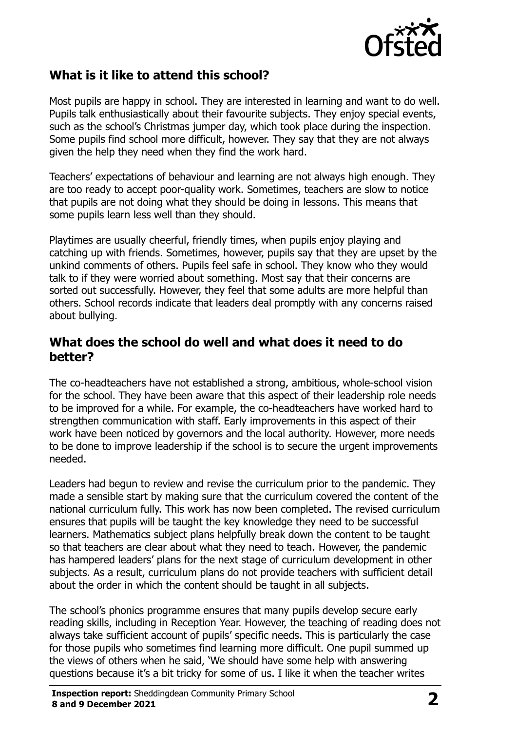

## **What is it like to attend this school?**

Most pupils are happy in school. They are interested in learning and want to do well. Pupils talk enthusiastically about their favourite subjects. They enjoy special events, such as the school's Christmas jumper day, which took place during the inspection. Some pupils find school more difficult, however. They say that they are not always given the help they need when they find the work hard.

Teachers' expectations of behaviour and learning are not always high enough. They are too ready to accept poor-quality work. Sometimes, teachers are slow to notice that pupils are not doing what they should be doing in lessons. This means that some pupils learn less well than they should.

Playtimes are usually cheerful, friendly times, when pupils enjoy playing and catching up with friends. Sometimes, however, pupils say that they are upset by the unkind comments of others. Pupils feel safe in school. They know who they would talk to if they were worried about something. Most say that their concerns are sorted out successfully. However, they feel that some adults are more helpful than others. School records indicate that leaders deal promptly with any concerns raised about bullying.

#### **What does the school do well and what does it need to do better?**

The co-headteachers have not established a strong, ambitious, whole-school vision for the school. They have been aware that this aspect of their leadership role needs to be improved for a while. For example, the co-headteachers have worked hard to strengthen communication with staff. Early improvements in this aspect of their work have been noticed by governors and the local authority. However, more needs to be done to improve leadership if the school is to secure the urgent improvements needed.

Leaders had begun to review and revise the curriculum prior to the pandemic. They made a sensible start by making sure that the curriculum covered the content of the national curriculum fully. This work has now been completed. The revised curriculum ensures that pupils will be taught the key knowledge they need to be successful learners. Mathematics subject plans helpfully break down the content to be taught so that teachers are clear about what they need to teach. However, the pandemic has hampered leaders' plans for the next stage of curriculum development in other subjects. As a result, curriculum plans do not provide teachers with sufficient detail about the order in which the content should be taught in all subjects.

The school's phonics programme ensures that many pupils develop secure early reading skills, including in Reception Year. However, the teaching of reading does not always take sufficient account of pupils' specific needs. This is particularly the case for those pupils who sometimes find learning more difficult. One pupil summed up the views of others when he said, 'We should have some help with answering questions because it's a bit tricky for some of us. I like it when the teacher writes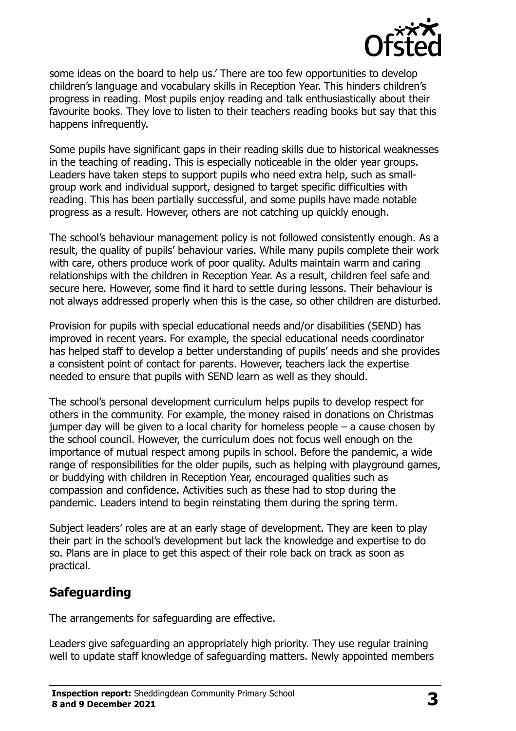

some ideas on the board to help us.' There are too few opportunities to develop children's language and vocabulary skills in Reception Year. This hinders children's progress in reading. Most pupils enjoy reading and talk enthusiastically about their favourite books. They love to listen to their teachers reading books but say that this happens infrequently.

Some pupils have significant gaps in their reading skills due to historical weaknesses in the teaching of reading. This is especially noticeable in the older year groups. Leaders have taken steps to support pupils who need extra help, such as smallgroup work and individual support, designed to target specific difficulties with reading. This has been partially successful, and some pupils have made notable progress as a result. However, others are not catching up quickly enough.

The school's behaviour management policy is not followed consistently enough. As a result, the quality of pupils' behaviour varies. While many pupils complete their work with care, others produce work of poor quality. Adults maintain warm and caring relationships with the children in Reception Year. As a result, children feel safe and secure here. However, some find it hard to settle during lessons. Their behaviour is not always addressed properly when this is the case, so other children are disturbed.

Provision for pupils with special educational needs and/or disabilities (SEND) has improved in recent years. For example, the special educational needs coordinator has helped staff to develop a better understanding of pupils' needs and she provides a consistent point of contact for parents. However, teachers lack the expertise needed to ensure that pupils with SEND learn as well as they should.

The school's personal development curriculum helps pupils to develop respect for others in the community. For example, the money raised in donations on Christmas jumper day will be given to a local charity for homeless people – a cause chosen by the school council. However, the curriculum does not focus well enough on the importance of mutual respect among pupils in school. Before the pandemic, a wide range of responsibilities for the older pupils, such as helping with playground games, or buddying with children in Reception Year, encouraged qualities such as compassion and confidence. Activities such as these had to stop during the pandemic. Leaders intend to begin reinstating them during the spring term.

Subject leaders' roles are at an early stage of development. They are keen to play their part in the school's development but lack the knowledge and expertise to do so. Plans are in place to get this aspect of their role back on track as soon as practical.

## **Safeguarding**

The arrangements for safeguarding are effective.

Leaders give safeguarding an appropriately high priority. They use regular training well to update staff knowledge of safeguarding matters. Newly appointed members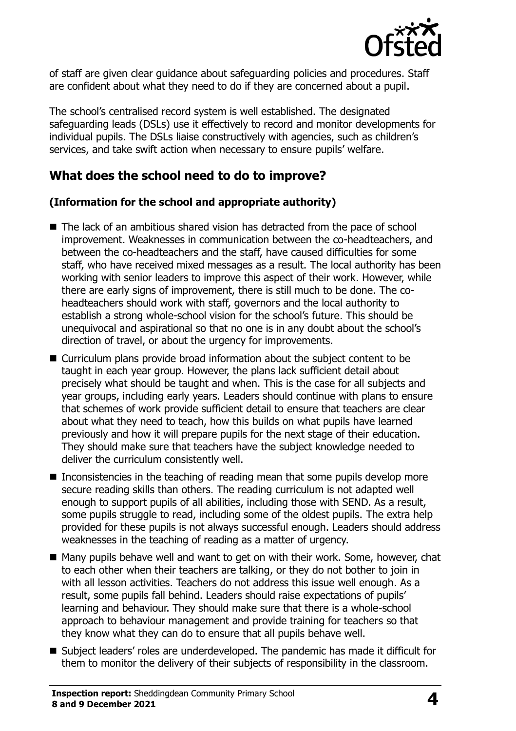

of staff are given clear guidance about safeguarding policies and procedures. Staff are confident about what they need to do if they are concerned about a pupil.

The school's centralised record system is well established. The designated safeguarding leads (DSLs) use it effectively to record and monitor developments for individual pupils. The DSLs liaise constructively with agencies, such as children's services, and take swift action when necessary to ensure pupils' welfare.

## **What does the school need to do to improve?**

#### **(Information for the school and appropriate authority)**

- The lack of an ambitious shared vision has detracted from the pace of school improvement. Weaknesses in communication between the co-headteachers, and between the co-headteachers and the staff, have caused difficulties for some staff, who have received mixed messages as a result. The local authority has been working with senior leaders to improve this aspect of their work. However, while there are early signs of improvement, there is still much to be done. The coheadteachers should work with staff, governors and the local authority to establish a strong whole-school vision for the school's future. This should be unequivocal and aspirational so that no one is in any doubt about the school's direction of travel, or about the urgency for improvements.
- Curriculum plans provide broad information about the subject content to be taught in each year group. However, the plans lack sufficient detail about precisely what should be taught and when. This is the case for all subjects and year groups, including early years. Leaders should continue with plans to ensure that schemes of work provide sufficient detail to ensure that teachers are clear about what they need to teach, how this builds on what pupils have learned previously and how it will prepare pupils for the next stage of their education. They should make sure that teachers have the subject knowledge needed to deliver the curriculum consistently well.
- $\blacksquare$  Inconsistencies in the teaching of reading mean that some pupils develop more secure reading skills than others. The reading curriculum is not adapted well enough to support pupils of all abilities, including those with SEND. As a result, some pupils struggle to read, including some of the oldest pupils. The extra help provided for these pupils is not always successful enough. Leaders should address weaknesses in the teaching of reading as a matter of urgency.
- Many pupils behave well and want to get on with their work. Some, however, chat to each other when their teachers are talking, or they do not bother to join in with all lesson activities. Teachers do not address this issue well enough. As a result, some pupils fall behind. Leaders should raise expectations of pupils' learning and behaviour. They should make sure that there is a whole-school approach to behaviour management and provide training for teachers so that they know what they can do to ensure that all pupils behave well.
- Subject leaders' roles are underdeveloped. The pandemic has made it difficult for them to monitor the delivery of their subjects of responsibility in the classroom.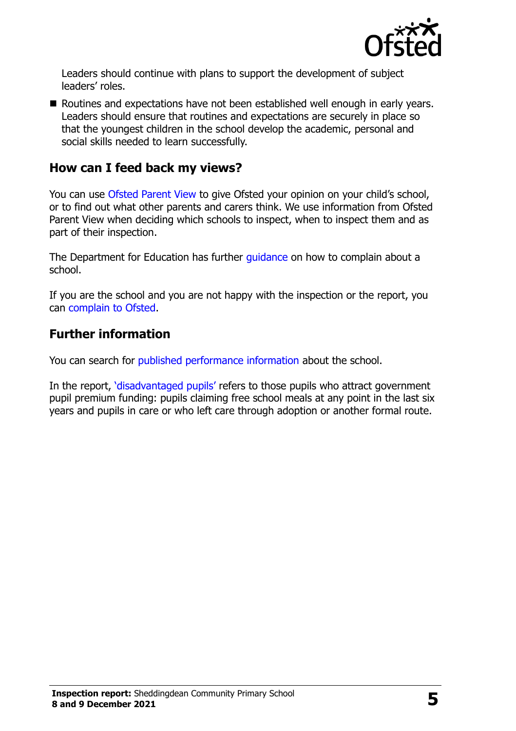

Leaders should continue with plans to support the development of subject leaders' roles.

Routines and expectations have not been established well enough in early years. Leaders should ensure that routines and expectations are securely in place so that the youngest children in the school develop the academic, personal and social skills needed to learn successfully.

#### **How can I feed back my views?**

You can use [Ofsted Parent View](http://parentview.ofsted.gov.uk/) to give Ofsted your opinion on your child's school, or to find out what other parents and carers think. We use information from Ofsted Parent View when deciding which schools to inspect, when to inspect them and as part of their inspection.

The Department for Education has further quidance on how to complain about a school.

If you are the school and you are not happy with the inspection or the report, you can [complain to Ofsted.](http://www.gov.uk/complain-ofsted-report)

### **Further information**

You can search for [published performance information](http://www.compare-school-performance.service.gov.uk/) about the school.

In the report, '[disadvantaged pupils](http://www.gov.uk/guidance/pupil-premium-information-for-schools-and-alternative-provision-settings)' refers to those pupils who attract government pupil premium funding: pupils claiming free school meals at any point in the last six years and pupils in care or who left care through adoption or another formal route.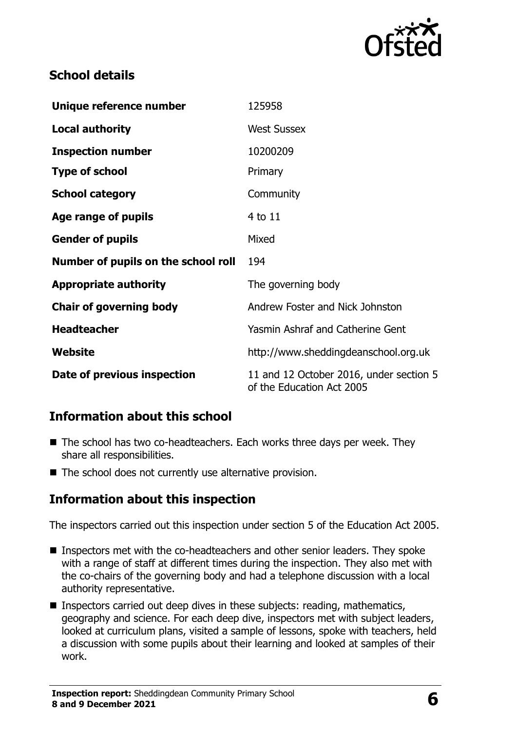

## **School details**

| Unique reference number             | 125958                                                               |  |
|-------------------------------------|----------------------------------------------------------------------|--|
| <b>Local authority</b>              | <b>West Sussex</b>                                                   |  |
| <b>Inspection number</b>            | 10200209                                                             |  |
| <b>Type of school</b>               | Primary                                                              |  |
| <b>School category</b>              | Community                                                            |  |
| Age range of pupils                 | 4 to 11                                                              |  |
| <b>Gender of pupils</b>             | Mixed                                                                |  |
| Number of pupils on the school roll | 194                                                                  |  |
| <b>Appropriate authority</b>        | The governing body                                                   |  |
| <b>Chair of governing body</b>      | Andrew Foster and Nick Johnston                                      |  |
| <b>Headteacher</b>                  | <b>Yasmin Ashraf and Catherine Gent</b>                              |  |
| Website                             | http://www.sheddingdeanschool.org.uk                                 |  |
| Date of previous inspection         | 11 and 12 October 2016, under section 5<br>of the Education Act 2005 |  |

## **Information about this school**

- The school has two co-headteachers. Each works three days per week. They share all responsibilities.
- The school does not currently use alternative provision.

## **Information about this inspection**

The inspectors carried out this inspection under section 5 of the Education Act 2005.

- Inspectors met with the co-headteachers and other senior leaders. They spoke with a range of staff at different times during the inspection. They also met with the co-chairs of the governing body and had a telephone discussion with a local authority representative.
- **Inspectors carried out deep dives in these subjects: reading, mathematics,** geography and science. For each deep dive, inspectors met with subject leaders, looked at curriculum plans, visited a sample of lessons, spoke with teachers, held a discussion with some pupils about their learning and looked at samples of their work.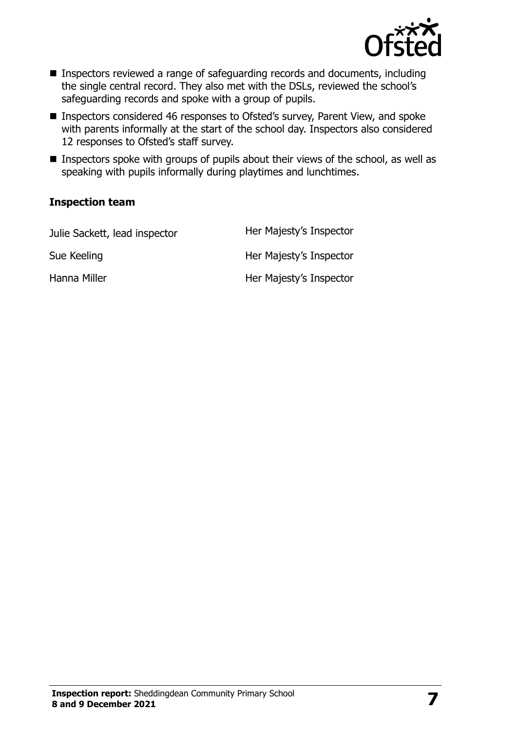

- Inspectors reviewed a range of safeguarding records and documents, including the single central record. They also met with the DSLs, reviewed the school's safeguarding records and spoke with a group of pupils.
- Inspectors considered 46 responses to Ofsted's survey, Parent View, and spoke with parents informally at the start of the school day. Inspectors also considered 12 responses to Ofsted's staff survey.
- Inspectors spoke with groups of pupils about their views of the school, as well as speaking with pupils informally during playtimes and lunchtimes.

#### **Inspection team**

| Julie Sackett, lead inspector | Her Majesty's Inspector |
|-------------------------------|-------------------------|
| Sue Keeling                   | Her Majesty's Inspector |
| Hanna Miller                  | Her Majesty's Inspector |